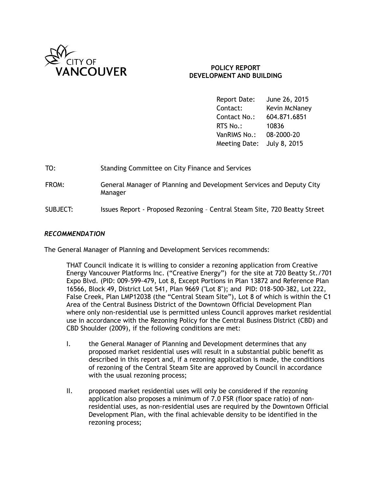

## **POLICY REPORT DEVELOPMENT AND BUILDING**

Report Date: June 26, 2015 Contact: Kevin McNaney Contact No.: 604.871.6851 RTS No.: 10836 VanRIMS No.: 08-2000-20 Meeting Date: July 8, 2015

| TO:      | Standing Committee on City Finance and Services                                 |
|----------|---------------------------------------------------------------------------------|
| FROM:    | General Manager of Planning and Development Services and Deputy City<br>Manager |
| SUBJECT: | Issues Report - Proposed Rezoning - Central Steam Site, 720 Beatty Street       |

#### *RECOMMENDATION*

The General Manager of Planning and Development Services recommends:

THAT Council indicate it is willing to consider a rezoning application from Creative Energy Vancouver Platforms Inc. ("Creative Energy") for the site at 720 Beatty St./701 Expo Blvd. (PID: 009-599-479, Lot 8, Except Portions in Plan 13872 and Reference Plan 16566, Block 49, District Lot 541, Plan 9669 ("Lot 8"); and PID: 018-500-382, Lot 222, False Creek, Plan LMP12038 (the "Central Steam Site"), Lot 8 of which is within the C1 Area of the Central Business District of the Downtown Official Development Plan where only non-residential use is permitted unless Council approves market residential use in accordance with the Rezoning Policy for the Central Business District (CBD) and CBD Shoulder (2009), if the following conditions are met:

- I. the General Manager of Planning and Development determines that any proposed market residential uses will result in a substantial public benefit as described in this report and, if a rezoning application is made, the conditions of rezoning of the Central Steam Site are approved by Council in accordance with the usual rezoning process;
- II. proposed market residential uses will only be considered if the rezoning application also proposes a minimum of 7.0 FSR (floor space ratio) of nonresidential uses, as non-residential uses are required by the Downtown Official Development Plan, with the final achievable density to be identified in the rezoning process;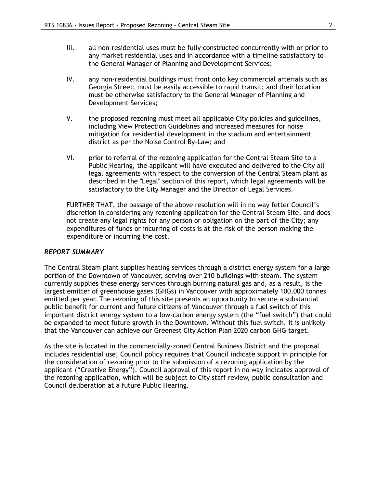- III. all non-residential uses must be fully constructed concurrently with or prior to any market residential uses and in accordance with a timeline satisfactory to the General Manager of Planning and Development Services;
- IV. any non-residential buildings must front onto key commercial arterials such as Georgia Street; must be easily accessible to rapid transit; and their location must be otherwise satisfactory to the General Manager of Planning and Development Services;
- V. the proposed rezoning must meet all applicable City policies and guidelines, including View Protection Guidelines and increased measures for noise mitigation for residential development in the stadium and entertainment district as per the Noise Control By-Law; and
- VI. prior to referral of the rezoning application for the Central Steam Site to a Public Hearing, the applicant will have executed and delivered to the City all legal agreements with respect to the conversion of the Central Steam plant as described in the "Legal" section of this report, which legal agreements will be satisfactory to the City Manager and the Director of Legal Services.

FURTHER THAT, the passage of the above resolution will in no way fetter Council's discretion in considering any rezoning application for the Central Steam Site, and does not create any legal rights for any person or obligation on the part of the City; any expenditures of funds or incurring of costs is at the risk of the person making the expenditure or incurring the cost.

#### *REPORT SUMMARY*

The Central Steam plant supplies heating services through a district energy system for a large portion of the Downtown of Vancouver, serving over 210 buildings with steam. The system currently supplies these energy services through burning natural gas and, as a result, is the largest emitter of greenhouse gases (GHGs) in Vancouver with approximately 100,000 tonnes emitted per year. The rezoning of this site presents an opportunity to secure a substantial public benefit for current and future citizens of Vancouver through a fuel switch of this important district energy system to a low-carbon energy system (the "fuel switch") that could be expanded to meet future growth in the Downtown. Without this fuel switch, it is unlikely that the Vancouver can achieve our Greenest City Action Plan 2020 carbon GHG target.

As the site is located in the commercially-zoned Central Business District and the proposal includes residential use, Council policy requires that Council indicate support in principle for the consideration of rezoning prior to the submission of a rezoning application by the applicant ("Creative Energy"). Council approval of this report in no way indicates approval of the rezoning application, which will be subject to City staff review, public consultation and Council deliberation at a future Public Hearing.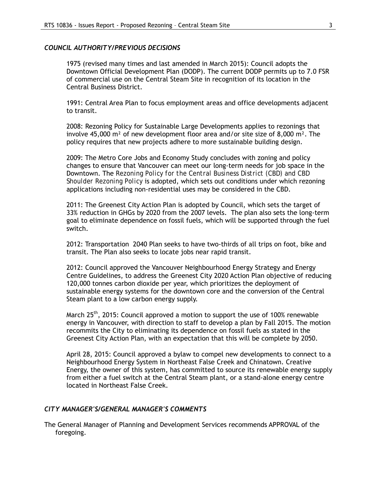#### *COUNCIL AUTHORITY/PREVIOUS DECISIONS*

1975 (revised many times and last amended in March 2015): Council adopts the Downtown Official Development Plan (DODP). The current DODP permits up to 7.0 FSR of commercial use on the Central Steam Site in recognition of its location in the Central Business District.

1991: Central Area Plan to focus employment areas and office developments adjacent to transit.

2008: Rezoning Policy for Sustainable Large Developments applies to rezonings that involve 45,000  $m^2$  of new development floor area and/or site size of 8,000  $m^2$ . The policy requires that new projects adhere to more sustainable building design.

2009: The Metro Core Jobs and Economy Study concludes with zoning and policy changes to ensure that Vancouver can meet our long-term needs for job space in the Downtown. The *Rezoning Policy for the Central Business District (CBD) and CBD Shoulder Rezoning Policy* is adopted, which sets out conditions under which rezoning applications including non-residential uses may be considered in the CBD.

2011: The Greenest City Action Plan is adopted by Council, which sets the target of 33% reduction in GHGs by 2020 from the 2007 levels. The plan also sets the long-term goal to eliminate dependence on fossil fuels, which will be supported through the fuel switch.

2012: Transportation 2040 Plan seeks to have two-thirds of all trips on foot, bike and transit. The Plan also seeks to locate jobs near rapid transit.

2012: Council approved the Vancouver Neighbourhood Energy Strategy and Energy Centre Guidelines, to address the Greenest City 2020 Action Plan objective of reducing 120,000 tonnes carbon dioxide per year, which prioritizes the deployment of sustainable energy systems for the downtown core and the conversion of the Central Steam plant to a low carbon energy supply.

March 25<sup>th</sup>, 2015: Council approved a motion to support the use of 100% renewable energy in Vancouver, with direction to staff to develop a plan by Fall 2015. The motion recommits the City to eliminating its dependence on fossil fuels as stated in the Greenest City Action Plan, with an expectation that this will be complete by 2050.

April 28, 2015: Council approved a bylaw to compel new developments to connect to a Neighbourhood Energy System in Northeast False Creek and Chinatown. Creative Energy, the owner of this system, has committed to source its renewable energy supply from either a fuel switch at the Central Steam plant, or a stand-alone energy centre located in Northeast False Creek.

#### *CITY MANAGER'S/GENERAL MANAGER'S COMMENTS*

The General Manager of Planning and Development Services recommends APPROVAL of the foregoing.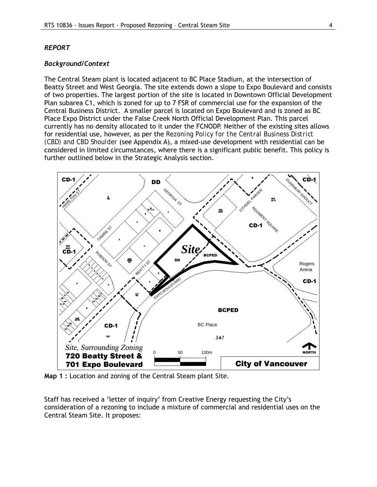#### *REPORT*

#### *Background/Context*

The Central Steam plant is located adjacent to BC Place Stadium, at the intersection of Beatty Street and West Georgia. The site extends down a slope to Expo Boulevard and consists of two properties. The largest portion of the site is located in Downtown Official Development Plan subarea C1, which is zoned for up to 7 FSR of commercial use for the expansion of the Central Business District. A smaller parcel is located on Expo Boulevard and is zoned as BC Place Expo District under the False Creek North Official Development Plan. This parcel currently has no density allocated to it under the FCNODP. Neither of the existing sites allows for residential use, however, as per the *Rezoning Policy for the Central Business District (CBD) and CBD Shoulder* (see Appendix A), a mixed-use development with residential can be considered in limited circumstances, where there is a significant public benefit. This policy is further outlined below in the Strategic Analysis section.



**Map 1 :** Location and zoning of the Central Steam plant Site.

Staff has received a 'letter of inquiry' from Creative Energy requesting the City's consideration of a rezoning to include a mixture of commercial and residential uses on the Central Steam Site. It proposes: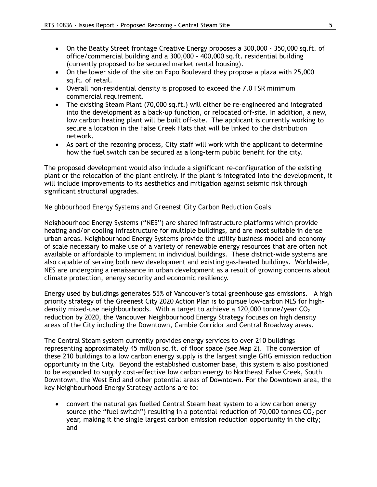- On the Beatty Street frontage Creative Energy proposes a 300,000 350,000 sq.ft. of office/commercial building and a 300,000 - 400,000 sq.ft. residential building (currently proposed to be secured market rental housing).
- On the lower side of the site on Expo Boulevard they propose a plaza with 25,000 sq.ft. of retail.
- Overall non-residential density is proposed to exceed the 7.0 FSR minimum commercial requirement.
- The existing Steam Plant (70,000 sq.ft.) will either be re-engineered and integrated into the development as a back-up function, or relocated off-site. In addition, a new, low carbon heating plant will be built off-site. The applicant is currently working to secure a location in the False Creek Flats that will be linked to the distribution network.
- As part of the rezoning process, City staff will work with the applicant to determine how the fuel switch can be secured as a long-term public benefit for the city.

The proposed development would also include a significant re-configuration of the existing plant or the relocation of the plant entirely. If the plant is integrated into the development, it will include improvements to its aesthetics and mitigation against seismic risk through significant structural upgrades.

## *Neighbourhood Energy Systems and Greenest City Carbon Reduction Goals*

Neighbourhood Energy Systems ("NES") are shared infrastructure platforms which provide heating and/or cooling infrastructure for multiple buildings, and are most suitable in dense urban areas. Neighbourhood Energy Systems provide the utility business model and economy of scale necessary to make use of a variety of renewable energy resources that are often not available or affordable to implement in individual buildings. These district-wide systems are also capable of serving both new development and existing gas-heated buildings. Worldwide, NES are undergoing a renaissance in urban development as a result of growing concerns about climate protection, energy security and economic resiliency.

Energy used by buildings generates 55% of Vancouver's total greenhouse gas emissions. A high priority strategy of the Greenest City 2020 Action Plan is to pursue low-carbon NES for highdensity mixed-use neighbourhoods. With a target to achieve a 120,000 tonne/year  $CO<sub>2</sub>$ reduction by 2020, the Vancouver Neighbourhood Energy Strategy focuses on high density areas of the City including the Downtown, Cambie Corridor and Central Broadway areas.

The Central Steam system currently provides energy services to over 210 buildings representing approximately 45 million sq.ft. of floor space (see Map 2). The conversion of these 210 buildings to a low carbon energy supply is the largest single GHG emission reduction opportunity in the City. Beyond the established customer base, this system is also positioned to be expanded to supply cost-effective low carbon energy to Northeast False Creek, South Downtown, the West End and other potential areas of Downtown. For the Downtown area, the key Neighbourhood Energy Strategy actions are to:

• convert the natural gas fuelled Central Steam heat system to a low carbon energy source (the "fuel switch") resulting in a potential reduction of  $70,000$  tonnes  $CO<sub>2</sub>$  per year, making it the single largest carbon emission reduction opportunity in the city; and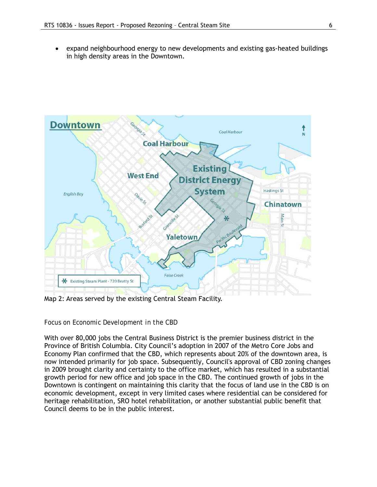• expand neighbourhood energy to new developments and existing gas-heated buildings in high density areas in the Downtown.



Map 2: Areas served by the existing Central Steam Facility.

#### *Focus on Economic Development in the CBD*

With over 80,000 jobs the Central Business District is the premier business district in the Province of British Columbia. City Council's adoption in 2007 of the Metro Core Jobs and Economy Plan confirmed that the CBD, which represents about 20% of the downtown area, is now intended primarily for job space. Subsequently, Council's approval of CBD zoning changes in 2009 brought clarity and certainty to the office market, which has resulted in a substantial growth period for new office and job space in the CBD. The continued growth of jobs in the Downtown is contingent on maintaining this clarity that the focus of land use in the CBD is on economic development, except in very limited cases where residential can be considered for heritage rehabilitation, SRO hotel rehabilitation, or another substantial public benefit that Council deems to be in the public interest.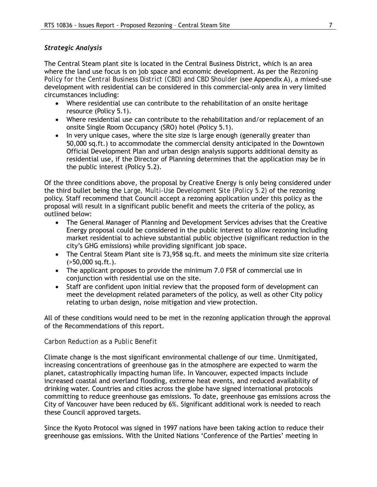## *Strategic Analysis*

The Central Steam plant site is located in the Central Business District, which is an area where the land use focus is on job space and economic development. As per the *Rezoning Policy for the Central Business District (CBD) and CBD Shoulder* (see Appendix A), a mixed-use development with residential can be considered in this commercial-only area in very limited circumstances including:

- Where residential use can contribute to the rehabilitation of an onsite heritage resource (Policy 5.1).
- Where residential use can contribute to the rehabilitation and/or replacement of an onsite Single Room Occupancy (SRO) hotel (Policy 5.1).
- In very unique cases, where the site size is large enough (generally greater than 50,000 sq.ft.) to accommodate the commercial density anticipated in the Downtown Official Development Plan and urban design analysis supports additional density as residential use, if the Director of Planning determines that the application may be in the public interest (Policy 5.2).

Of the three conditions above, the proposal by Creative Energy is only being considered under the third bullet being the *Large, Multi-Use Development Site (Policy 5.2)* of the rezoning policy. Staff recommend that Council accept a rezoning application under this policy as the proposal will result in a significant public benefit and meets the criteria of the policy, as outlined below:

- The General Manager of Planning and Development Services advises that the Creative Energy proposal could be considered in the public interest to allow rezoning including market residential to achieve substantial public objective (significant reduction in the city's GHG emissions) while providing significant job space.
- The Central Steam Plant site is 73,958 sq.ft. and meets the minimum site size criteria (>50,000 sq.ft.).
- The applicant proposes to provide the minimum 7.0 FSR of commercial use in conjunction with residential use on the site.
- Staff are confident upon initial review that the proposed form of development can meet the development related parameters of the policy, as well as other City policy relating to urban design, noise mitigation and view protection.

All of these conditions would need to be met in the rezoning application through the approval of the Recommendations of this report.

#### *Carbon Reduction as a Public Benefit*

Climate change is the most significant environmental challenge of our time. Unmitigated, increasing concentrations of greenhouse gas in the atmosphere are expected to warm the planet, catastrophically impacting human life. In Vancouver, expected impacts include increased coastal and overland flooding, extreme heat events, and reduced availability of drinking water. Countries and cities across the globe have signed international protocols committing to reduce greenhouse gas emissions. To date, greenhouse gas emissions across the City of Vancouver have been reduced by 6%. Significant additional work is needed to reach these Council approved targets.

Since the Kyoto Protocol was signed in 1997 nations have been taking action to reduce their greenhouse gas emissions. With the United Nations 'Conference of the Parties' meeting in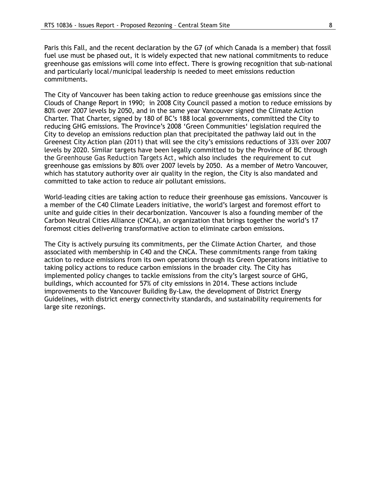Paris this Fall, and the recent declaration by the G7 (of which Canada is a member) that fossil fuel use must be phased out, it is widely expected that new national commitments to reduce greenhouse gas emissions will come into effect. There is growing recognition that sub-national and particularly local/municipal leadership is needed to meet emissions reduction commitments.

The City of Vancouver has been taking action to reduce greenhouse gas emissions since the Clouds of Change Report in 1990; in 2008 City Council passed a motion to reduce emissions by 80% over 2007 levels by 2050, and in the same year Vancouver signed the Climate Action Charter. That Charter, signed by 180 of BC's 188 local governments, committed the City to reducing GHG emissions. The Province's 2008 'Green Communities' legislation required the City to develop an emissions reduction plan that precipitated the pathway laid out in the Greenest City Action plan (2011) that will see the city's emissions reductions of 33% over 2007 levels by 2020. Similar targets have been legally committed to by the Province of BC through the *Greenhouse Gas Reduction Targets Act*, which also includes the requirement to cut greenhouse gas emissions by 80% over 2007 levels by 2050. As a member of Metro Vancouver, which has statutory authority over air quality in the region, the City is also mandated and committed to take action to reduce air pollutant emissions.

World-leading cities are taking action to reduce their greenhouse gas emissions. Vancouver is a member of the C40 Climate Leaders initiative, the world's largest and foremost effort to unite and guide cities in their decarbonization. Vancouver is also a founding member of the Carbon Neutral Cities Alliance (CNCA), an organization that brings together the world's 17 foremost cities delivering transformative action to eliminate carbon emissions.

The City is actively pursuing its commitments, per the Climate Action Charter, and those associated with membership in C40 and the CNCA. These commitments range from taking action to reduce emissions from its own operations through its Green Operations initiative to taking policy actions to reduce carbon emissions in the broader city. The City has implemented policy changes to tackle emissions from the city's largest source of GHG, buildings, which accounted for 57% of city emissions in 2014. These actions include improvements to the Vancouver Building By-Law, the development of District Energy Guidelines, with district energy connectivity standards, and sustainability requirements for large site rezonings.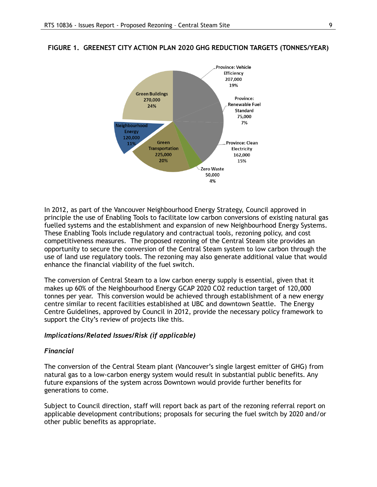

#### **FIGURE 1. GREENEST CITY ACTION PLAN 2020 GHG REDUCTION TARGETS (TONNES/YEAR)**

In 2012, as part of the Vancouver Neighbourhood Energy Strategy, Council approved in principle the use of Enabling Tools to facilitate low carbon conversions of existing natural gas fuelled systems and the establishment and expansion of new Neighbourhood Energy Systems. These Enabling Tools include regulatory and contractual tools, rezoning policy, and cost competitiveness measures. The proposed rezoning of the Central Steam site provides an opportunity to secure the conversion of the Central Steam system to low carbon through the use of land use regulatory tools. The rezoning may also generate additional value that would enhance the financial viability of the fuel switch.

The conversion of Central Steam to a low carbon energy supply is essential, given that it makes up 60% of the Neighbourhood Energy GCAP 2020 CO2 reduction target of 120,000 tonnes per year. This conversion would be achieved through establishment of a new energy centre similar to recent facilities established at UBC and downtown Seattle. The Energy Centre Guidelines, approved by Council in 2012, provide the necessary policy framework to support the City's review of projects like this.

#### *Implications/Related Issues/Risk (if applicable)*

#### *Financial*

The conversion of the Central Steam plant (Vancouver's single largest emitter of GHG) from natural gas to a low-carbon energy system would result in substantial public benefits. Any future expansions of the system across Downtown would provide further benefits for generations to come.

Subject to Council direction, staff will report back as part of the rezoning referral report on applicable development contributions; proposals for securing the fuel switch by 2020 and/or other public benefits as appropriate.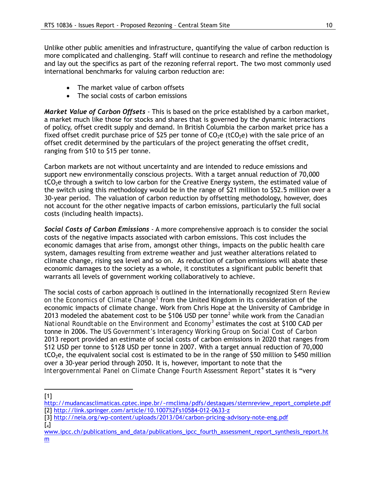Unlike other public amenities and infrastructure, quantifying the value of carbon reduction is more complicated and challenging. Staff will continue to research and refine the methodology and lay out the specifics as part of the rezoning referral report. The two most commonly used international benchmarks for valuing carbon reduction are:

- The market value of carbon offsets
- The social costs of carbon emissions

*Market Value of Carbon Offsets* - This is based on the price established by a carbon market, a market much like those for stocks and shares that is governed by the dynamic interactions of policy, offset credit supply and demand. In British Columbia the carbon market price has a fixed offset credit purchase price of \$25 per tonne of  $CO<sub>2</sub>e$  (tCO<sub>2</sub>e) with the sale price of an offset credit determined by the particulars of the project generating the offset credit, ranging from \$10 to \$15 per tonne.

Carbon markets are not without uncertainty and are intended to reduce emissions and support new environmentally conscious projects. With a target annual reduction of 70,000  $tCO<sub>2</sub>e$  through a switch to low carbon for the Creative Energy system, the estimated value of the switch using this methodology would be in the range of \$21 million to \$52.5 million over a 30-year period. The valuation of carbon reduction by offsetting methodology, however, does not account for the other negative impacts of carbon emissions, particularly the full social costs (including health impacts).

*Social Costs of Carbon Emissions* - A more comprehensive approach is to consider the social costs of the negative impacts associated with carbon emissions. This cost includes the economic damages that arise from, amongst other things, impacts on the public health care system, damages resulting from extreme weather and just weather alterations related to climate change, rising sea level and so on. As reduction of carbon emissions will abate these economic damages to the society as a whole, it constitutes a significant public benefit that warrants all levels of government working collaboratively to achieve.

The social costs of carbon approach is outlined in the internationally recognized *Stern Review on the Economics of Climate Change[1](#page-9-0)* from the United Kingdom in its consideration of the economic impacts of climate change. Work from Chris Hope at the University of Cambridge in 2013 modeled the abatement cost to be \$106 USD per tonne[2](#page-9-1) while work from the *Canadian National Roundtable on the Environment and Economy[3](#page-9-2)* estimates the cost at \$100 CAD per tonne in 2006. The *US Government's Interagency Working Group on Social Cost of Carbon* 2013 report provided an estimate of social costs of carbon emissions in 2020 that ranges from \$12 USD per tonne to \$128 USD per tonne in 2007. With a target annual reduction of 70,000  $tCO<sub>2</sub>e$ , the equivalent social cost is estimated to be in the range of \$50 million to \$450 million over a 30-year period through 2050. It is, however, important to note that the *Intergovernmental Panel on Climate Change Fourth Assessment Report*[4](#page-9-3) states it is "very

[1]  $\overline{a}$ 

<span id="page-9-3"></span> $\lceil 4 \rceil$ 

[www.ipcc.ch/publications\\_and\\_data/publications\\_ipcc\\_fourth\\_assessment\\_report\\_synthesis\\_report.ht](http://www.ipcc.ch/publications_and_data/publications_ipcc_fourth_assessment_report_synthesis_report.htm) [m](http://www.ipcc.ch/publications_and_data/publications_ipcc_fourth_assessment_report_synthesis_report.htm)

<span id="page-9-1"></span><span id="page-9-0"></span>[http://mudancasclimaticas.cptec.inpe.br/~rmclima/pdfs/destaques/sternreview\\_report\\_complete.pdf](http://mudancasclimaticas.cptec.inpe.br/%7Ermclima/pdfs/destaques/sternreview_report_complete.pdf) [2]<http://link.springer.com/article/10.1007%2Fs10584-012-0633-z>

<span id="page-9-2"></span><sup>[3]</sup><http://neia.org/wp-content/uploads/2013/04/carbon-pricing-advisory-note-eng.pdf>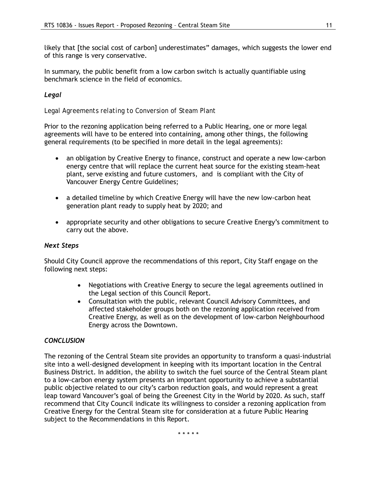likely that [the social cost of carbon] underestimates" damages, which suggests the lower end of this range is very conservative.

In summary, the public benefit from a low carbon switch is actually quantifiable using benchmark science in the field of economics.

# *Legal*

*Legal Agreements relating to Conversion of Steam Plant*

Prior to the rezoning application being referred to a Public Hearing, one or more legal agreements will have to be entered into containing, among other things, the following general requirements (to be specified in more detail in the legal agreements):

- an obligation by Creative Energy to finance, construct and operate a new low-carbon energy centre that will replace the current heat source for the existing steam-heat plant, serve existing and future customers, and is compliant with the City of Vancouver Energy Centre Guidelines;
- a detailed timeline by which Creative Energy will have the new low-carbon heat generation plant ready to supply heat by 2020; and
- appropriate security and other obligations to secure Creative Energy's commitment to carry out the above.

## *Next Steps*

Should City Council approve the recommendations of this report, City Staff engage on the following next steps:

- Negotiations with Creative Energy to secure the legal agreements outlined in the Legal section of this Council Report.
- Consultation with the public, relevant Council Advisory Committees, and affected stakeholder groups both on the rezoning application received from Creative Energy, as well as on the development of low-carbon Neighbourhood Energy across the Downtown.

## *CONCLUSION*

The rezoning of the Central Steam site provides an opportunity to transform a quasi-industrial site into a well-designed development in keeping with its important location in the Central Business District. In addition, the ability to switch the fuel source of the Central Steam plant to a low-carbon energy system presents an important opportunity to achieve a substantial public objective related to our city's carbon reduction goals, and would represent a great leap toward Vancouver's goal of being the Greenest City in the World by 2020. As such, staff recommend that City Council indicate its willingness to consider a rezoning application from Creative Energy for the Central Steam site for consideration at a future Public Hearing subject to the Recommendations in this Report.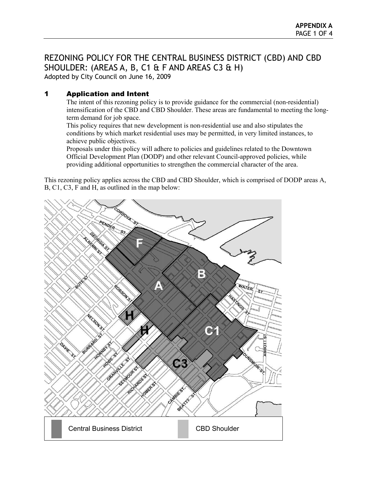# REZONING POLICY FOR THE CENTRAL BUSINESS DISTRICT (CBD) AND CBD SHOULDER: (AREAS A, B, C1 & F AND AREAS C3 & H)

Adopted by City Council on June 16, 2009

# 1 Application and Intent

The intent of this rezoning policy is to provide guidance for the commercial (non-residential) intensification of the CBD and CBD Shoulder. These areas are fundamental to meeting the longterm demand for job space.

This policy requires that new development is non-residential use and also stipulates the conditions by which market residential uses may be permitted, in very limited instances, to achieve public objectives.

Proposals under this policy will adhere to policies and guidelines related to the Downtown Official Development Plan (DODP) and other relevant Council-approved policies, while providing additional opportunities to strengthen the commercial character of the area.

This rezoning policy applies across the CBD and CBD Shoulder, which is comprised of DODP areas A, B, C1, C3, F and H, as outlined in the map below:

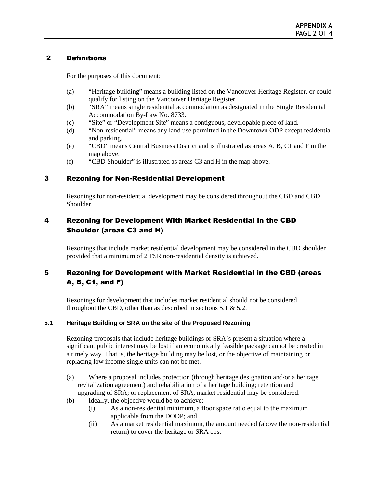## 2 Definitions

For the purposes of this document:

- (a) "Heritage building" means a building listed on the Vancouver Heritage Register, or could qualify for listing on the Vancouver Heritage Register.
- (b) "SRA" means single residential accommodation as designated in the Single Residential Accommodation By-Law No. 8733.
- (c) "Site" or "Development Site" means a contiguous, developable piece of land.
- (d) "Non-residential" means any land use permitted in the Downtown ODP except residential and parking.
- (e) "CBD" means Central Business District and is illustrated as areas A, B, C1 and F in the map above.
- (f) "CBD Shoulder" is illustrated as areas C3 and H in the map above.

## 3 Rezoning for Non-Residential Development

Rezonings for non-residential development may be considered throughout the CBD and CBD Shoulder.

# 4 Rezoning for Development With Market Residential in the CBD Shoulder (areas C3 and H)

Rezonings that include market residential development may be considered in the CBD shoulder provided that a minimum of 2 FSR non-residential density is achieved.

# 5 Rezoning for Development with Market Residential in the CBD (areas A, B, C1, and F)

Rezonings for development that includes market residential should not be considered throughout the CBD, other than as described in sections 5.1  $\&$  5.2.

## **5.1 Heritage Building or SRA on the site of the Proposed Rezoning**

Rezoning proposals that include heritage buildings or SRA's present a situation where a significant public interest may be lost if an economically feasible package cannot be created in a timely way. That is, the heritage building may be lost, or the objective of maintaining or replacing low income single units can not be met.

- (a) Where a proposal includes protection (through heritage designation and/or a heritage revitalization agreement) and rehabilitation of a heritage building; retention and upgrading of SRA; or replacement of SRA, market residential may be considered.
- (b) Ideally, the objective would be to achieve:
	- (i) As a non-residential minimum, a floor space ratio equal to the maximum applicable from the DODP; and
	- (ii) As a market residential maximum, the amount needed (above the non-residential return) to cover the heritage or SRA cost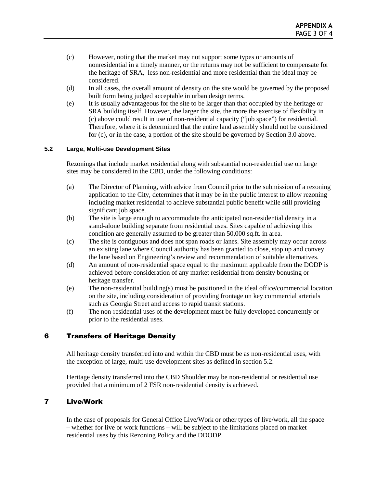- (c) However, noting that the market may not support some types or amounts of nonresidential in a timely manner, or the returns may not be sufficient to compensate for the heritage of SRA, less non-residential and more residential than the ideal may be considered.
- (d) In all cases, the overall amount of density on the site would be governed by the proposed built form being judged acceptable in urban design terms.
- (e) It is usually advantageous for the site to be larger than that occupied by the heritage or SRA building itself. However, the larger the site, the more the exercise of flexibility in (c) above could result in use of non-residential capacity ("job space") for residential. Therefore, where it is determined that the entire land assembly should not be considered for (c), or in the case, a portion of the site should be governed by Section 3.0 above.

## **5.2 Large, Multi-use Development Sites**

Rezonings that include market residential along with substantial non-residential use on large sites may be considered in the CBD, under the following conditions:

- (a) The Director of Planning, with advice from Council prior to the submission of a rezoning application to the City, determines that it may be in the public interest to allow rezoning including market residential to achieve substantial public benefit while still providing significant job space.
- (b) The site is large enough to accommodate the anticipated non-residential density in a stand-alone building separate from residential uses. Sites capable of achieving this condition are generally assumed to be greater than 50,000 sq.ft. in area.
- (c) The site is contiguous and does not span roads or lanes. Site assembly may occur across an existing lane where Council authority has been granted to close, stop up and convey the lane based on Engineering's review and recommendation of suitable alternatives.
- (d) An amount of non-residential space equal to the maximum applicable from the DODP is achieved before consideration of any market residential from density bonusing or heritage transfer.
- (e) The non-residential building(s) must be positioned in the ideal office/commercial location on the site, including consideration of providing frontage on key commercial arterials such as Georgia Street and access to rapid transit stations.
- (f) The non-residential uses of the development must be fully developed concurrently or prior to the residential uses.

# 6 Transfers of Heritage Density

All heritage density transferred into and within the CBD must be as non-residential uses, with the exception of large, multi-use development sites as defined in section 5.2.

Heritage density transferred into the CBD Shoulder may be non-residential or residential use provided that a minimum of 2 FSR non-residential density is achieved.

## 7 Live/Work

In the case of proposals for General Office Live/Work or other types of live/work, all the space – whether for live or work functions – will be subject to the limitations placed on market residential uses by this Rezoning Policy and the DDODP.